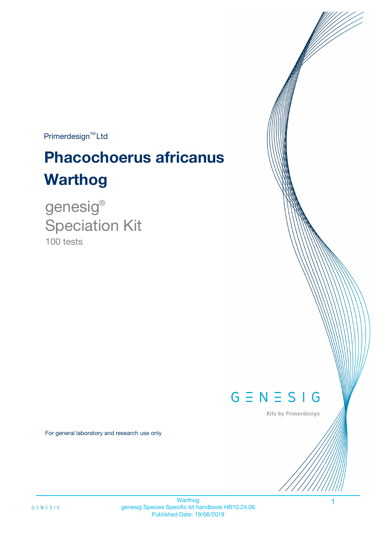Primerdesign<sup>™</sup>Ltd

# **Phacochoerus africanus Warthog**

100 tests genesig ® Speciation Kit

 $G \equiv N \equiv S \mid G$ 

Kits by Primerdesign

For general laboratory and research use only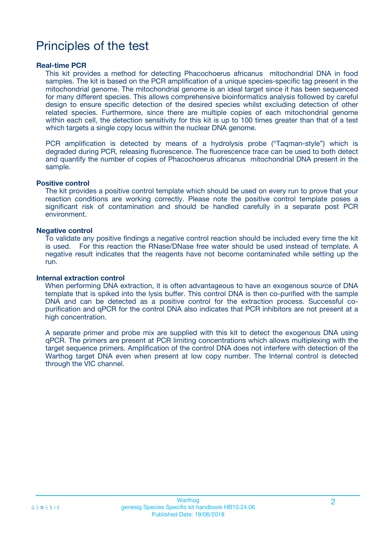# Principles of the test

### **Real-time PCR**

This kit provides a method for detecting Phacochoerus africanus mitochondrial DNA in food samples. The kit is based on the PCR amplification of a unique species-specific tag present in the mitochondrial genome. The mitochondrial genome is an ideal target since it has been sequenced for many different species. This allows comprehensive bioinformatics analysis followed by careful design to ensure specific detection of the desired species whilst excluding detection of other related species. Furthermore, since there are multiple copies of each mitochondrial genome within each cell, the detection sensitivity for this kit is up to 100 times greater than that of a test which targets a single copy locus within the nuclear DNA genome.

PCR amplification is detected by means of a hydrolysis probe ("Taqman-style") which is degraded during PCR, releasing fluorescence. The fluorescence trace can be used to both detect and quantify the number of copies of Phacochoerus africanus mitochondrial DNA present in the sample.

### **Positive control**

The kit provides a positive control template which should be used on every run to prove that your reaction conditions are working correctly. Please note the positive control template poses a significant risk of contamination and should be handled carefully in a separate post PCR environment.

### **Negative control**

To validate any positive findings a negative control reaction should be included every time the kit is used. For this reaction the RNase/DNase free water should be used instead of template. A negative result indicates that the reagents have not become contaminated while setting up the run.

### **Internal extraction control**

When performing DNA extraction, it is often advantageous to have an exogenous source of DNA template that is spiked into the lysis buffer. This control DNA is then co-purified with the sample DNA and can be detected as a positive control for the extraction process. Successful copurification and qPCR for the control DNA also indicates that PCR inhibitors are not present at a high concentration.

A separate primer and probe mix are supplied with this kit to detect the exogenous DNA using qPCR. The primers are present at PCR limiting concentrations which allows multiplexing with the target sequence primers. Amplification of the control DNA does not interfere with detection of the Warthog target DNA even when present at low copy number. The Internal control is detected through the VIC channel.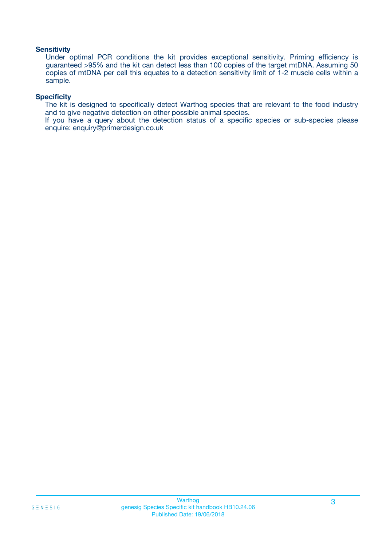### **Sensitivity**

Under optimal PCR conditions the kit provides exceptional sensitivity. Priming efficiency is guaranteed >95% and the kit can detect less than 100 copies of the target mtDNA. Assuming 50 copies of mtDNA per cell this equates to a detection sensitivity limit of 1-2 muscle cells within a sample.

### **Specificity**

The kit is designed to specifically detect Warthog species that are relevant to the food industry and to give negative detection on other possible animal species.

If you have a query about the detection status of a specific species or sub-species please enquire: enquiry@primerdesign.co.uk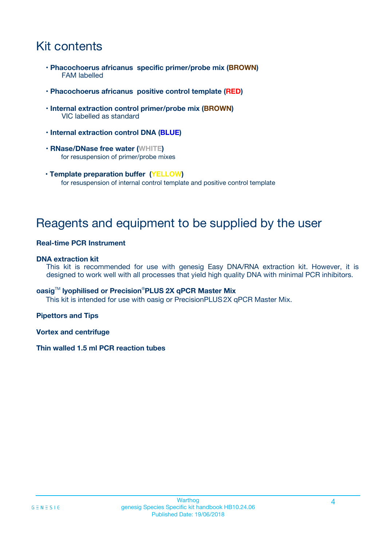# Kit contents

- **Phacochoerus africanus specific primer/probe mix (BROWN)** FAM labelled
- **Phacochoerus africanus positive control template (RED)**
- **Internal extraction control primer/probe mix (BROWN)** VIC labelled as standard
- **Internal extraction control DNA (BLUE)**
- **RNase/DNase free water (WHITE)** for resuspension of primer/probe mixes
- **Template preparation buffer (YELLOW)** for resuspension of internal control template and positive control template

# Reagents and equipment to be supplied by the user

### **Real-time PCR Instrument**

### **DNA extraction kit**

This kit is recommended for use with genesig Easy DNA/RNA extraction kit. However, it is designed to work well with all processes that yield high quality DNA with minimal PCR inhibitors.

### **oasig**TM **lyophilised or Precision**®**PLUS 2X qPCR Master Mix**

This kit is intended for use with oasig or PrecisionPLUS2X qPCR Master Mix.

### **Pipettors and Tips**

**Vortex and centrifuge**

### **Thin walled 1.5 ml PCR reaction tubes**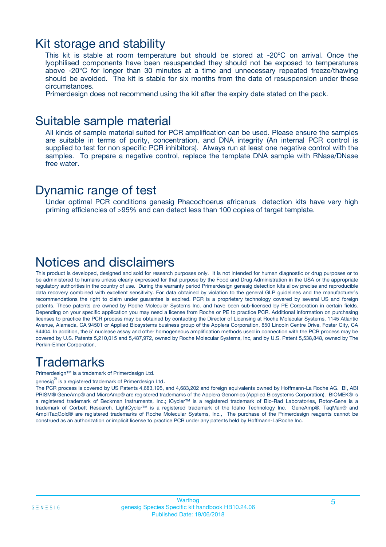### Kit storage and stability

This kit is stable at room temperature but should be stored at -20ºC on arrival. Once the lyophilised components have been resuspended they should not be exposed to temperatures above -20°C for longer than 30 minutes at a time and unnecessary repeated freeze/thawing should be avoided. The kit is stable for six months from the date of resuspension under these circumstances.

Primerdesign does not recommend using the kit after the expiry date stated on the pack.

### Suitable sample material

All kinds of sample material suited for PCR amplification can be used. Please ensure the samples are suitable in terms of purity, concentration, and DNA integrity (An internal PCR control is supplied to test for non specific PCR inhibitors). Always run at least one negative control with the samples. To prepare a negative control, replace the template DNA sample with RNase/DNase free water.

### Dynamic range of test

Under optimal PCR conditions genesig Phacochoerus africanus detection kits have very high priming efficiencies of >95% and can detect less than 100 copies of target template.

# Notices and disclaimers

This product is developed, designed and sold for research purposes only. It is not intended for human diagnostic or drug purposes or to be administered to humans unless clearly expressed for that purpose by the Food and Drug Administration in the USA or the appropriate regulatory authorities in the country of use. During the warranty period Primerdesign genesig detection kits allow precise and reproducible data recovery combined with excellent sensitivity. For data obtained by violation to the general GLP guidelines and the manufacturer's recommendations the right to claim under guarantee is expired. PCR is a proprietary technology covered by several US and foreign patents. These patents are owned by Roche Molecular Systems Inc. and have been sub-licensed by PE Corporation in certain fields. Depending on your specific application you may need a license from Roche or PE to practice PCR. Additional information on purchasing licenses to practice the PCR process may be obtained by contacting the Director of Licensing at Roche Molecular Systems, 1145 Atlantic Avenue, Alameda, CA 94501 or Applied Biosystems business group of the Applera Corporation, 850 Lincoln Centre Drive, Foster City, CA 94404. In addition, the 5' nuclease assay and other homogeneous amplification methods used in connection with the PCR process may be covered by U.S. Patents 5,210,015 and 5,487,972, owned by Roche Molecular Systems, Inc, and by U.S. Patent 5,538,848, owned by The Perkin-Elmer Corporation.

# **Trademarks**

Primerdesign™ is a trademark of Primerdesign Ltd.

genesig $^\circledR$  is a registered trademark of Primerdesign Ltd.

The PCR process is covered by US Patents 4,683,195, and 4,683,202 and foreign equivalents owned by Hoffmann-La Roche AG. BI, ABI PRISM® GeneAmp® and MicroAmp® are registered trademarks of the Applera Genomics (Applied Biosystems Corporation). BIOMEK® is a registered trademark of Beckman Instruments, Inc.; iCycler™ is a registered trademark of Bio-Rad Laboratories, Rotor-Gene is a trademark of Corbett Research. LightCycler™ is a registered trademark of the Idaho Technology Inc. GeneAmp®, TaqMan® and AmpliTaqGold® are registered trademarks of Roche Molecular Systems, Inc., The purchase of the Primerdesign reagents cannot be construed as an authorization or implicit license to practice PCR under any patents held by Hoffmann-LaRoche Inc.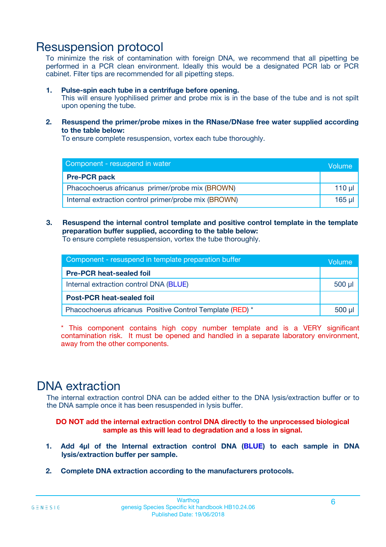# Resuspension protocol

To minimize the risk of contamination with foreign DNA, we recommend that all pipetting be performed in a PCR clean environment. Ideally this would be a designated PCR lab or PCR cabinet. Filter tips are recommended for all pipetting steps.

### **1. Pulse-spin each tube in a centrifuge before opening.**

This will ensure lyophilised primer and probe mix is in the base of the tube and is not spilt upon opening the tube.

**2. Resuspend the primer/probe mixes in the RNase/DNase free water supplied according to the table below:**

To ensure complete resuspension, vortex each tube thoroughly.

| Component - resuspend in water                       |        |  |  |
|------------------------------------------------------|--------|--|--|
| <b>Pre-PCR pack</b>                                  |        |  |  |
| Phacochoerus africanus primer/probe mix (BROWN)      |        |  |  |
| Internal extraction control primer/probe mix (BROWN) | 165 ul |  |  |

### **3. Resuspend the internal control template and positive control template in the template preparation buffer supplied, according to the table below:**

To ensure complete resuspension, vortex the tube thoroughly.

| Component - resuspend in template preparation buffer     |             |  |
|----------------------------------------------------------|-------------|--|
| <b>Pre-PCR heat-sealed foil</b>                          |             |  |
| Internal extraction control DNA (BLUE)                   | $500$ $\mu$ |  |
| <b>Post-PCR heat-sealed foil</b>                         |             |  |
| Phacochoerus africanus Positive Control Template (RED) * |             |  |

\* This component contains high copy number template and is a VERY significant contamination risk. It must be opened and handled in a separate laboratory environment, away from the other components.

# DNA extraction

The internal extraction control DNA can be added either to the DNA lysis/extraction buffer or to the DNA sample once it has been resuspended in lysis buffer.

**DO NOT add the internal extraction control DNA directly to the unprocessed biological sample as this will lead to degradation and a loss in signal.**

- **1. Add 4µl of the Internal extraction control DNA (BLUE) to each sample in DNA lysis/extraction buffer per sample.**
- **2. Complete DNA extraction according to the manufacturers protocols.**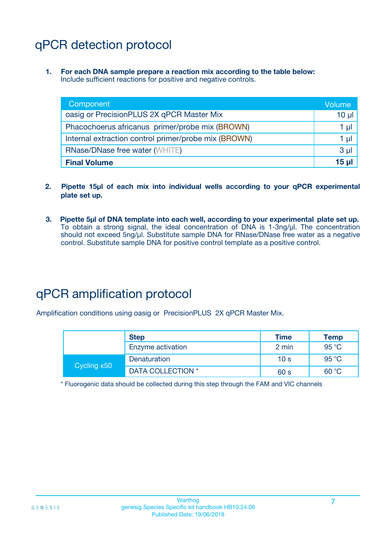# qPCR detection protocol

**1. For each DNA sample prepare a reaction mix according to the table below:** Include sufficient reactions for positive and negative controls.

| Component                                            | Volume         |
|------------------------------------------------------|----------------|
| oasig or PrecisionPLUS 2X qPCR Master Mix            | $10 \mu$       |
| Phacochoerus africanus primer/probe mix (BROWN)      | 1 µl           |
| Internal extraction control primer/probe mix (BROWN) | 1 µl           |
| <b>RNase/DNase free water (WHITE)</b>                | 3 <sub>µ</sub> |
| <b>Final Volume</b>                                  | 15 u           |

- **2. Pipette 15µl of each mix into individual wells according to your qPCR experimental plate set up.**
- **3. Pipette 5µl of DNA template into each well, according to your experimental plate set up.** To obtain a strong signal, the ideal concentration of DNA is 1-3ng/µl. The concentration should not exceed 5ng/µl. Substitute sample DNA for RNase/DNase free water as a negative control. Substitute sample DNA for positive control template as a positive control.

# qPCR amplification protocol

Amplification conditions using oasig or PrecisionPLUS 2X qPCR Master Mix.

|             | <b>Step</b>       | <b>Time</b>     | Temp           |
|-------------|-------------------|-----------------|----------------|
|             | Enzyme activation | 2 min           | 95 °C          |
| Cycling x50 | Denaturation      | 10 <sub>s</sub> | 95 $\degree$ C |
|             | DATA COLLECTION * | 60 s            | 60 °C          |

\* Fluorogenic data should be collected during this step through the FAM and VIC channels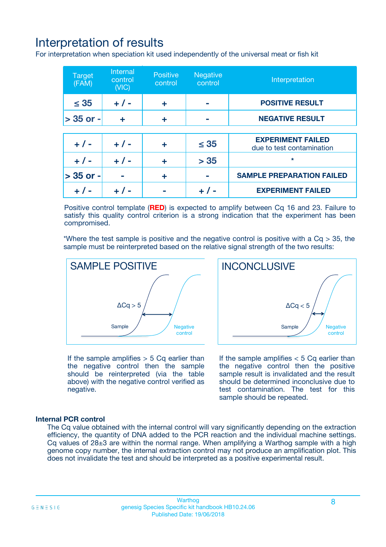# Interpretation of results

For interpretation when speciation kit used independently of the universal meat or fish kit

| <b>Target</b><br>(FAM) | <b>Internal</b><br>control<br>(VIC) | <b>Positive</b><br>control | <b>Negative</b><br>control | Interpretation                                        |
|------------------------|-------------------------------------|----------------------------|----------------------------|-------------------------------------------------------|
| $\leq 35$              | $+ 1 -$                             | ÷                          |                            | <b>POSITIVE RESULT</b>                                |
| $> 35$ or -            | ÷                                   | ÷                          |                            | <b>NEGATIVE RESULT</b>                                |
|                        |                                     |                            |                            |                                                       |
| $+ 1 -$                | $+ 1 -$                             | ÷                          | $\leq 35$                  | <b>EXPERIMENT FAILED</b><br>due to test contamination |
| $+ 1 -$                | $+ 1 -$                             | ٠                          | > 35                       | $\star$                                               |
| $> 35$ or -            |                                     | ÷                          |                            | <b>SAMPLE PREPARATION FAILED</b>                      |
|                        |                                     |                            |                            | <b>EXPERIMENT FAILED</b>                              |

Positive control template (**RED**) is expected to amplify between Cq 16 and 23. Failure to satisfy this quality control criterion is a strong indication that the experiment has been compromised.

\*Where the test sample is positive and the negative control is positive with a  $Ca > 35$ , the sample must be reinterpreted based on the relative signal strength of the two results:



If the sample amplifies  $> 5$  Cq earlier than the negative control then the sample should be reinterpreted (via the table above) with the negative control verified as negative.

Sample  $/$  / Negative control  $\Delta$ Ca < 5 **INCONCLUSIVE** 

If the sample amplifies  $< 5$  Cq earlier than the negative control then the positive sample result is invalidated and the result should be determined inconclusive due to test contamination. The test for this sample should be repeated.

### **Internal PCR control**

The Cq value obtained with the internal control will vary significantly depending on the extraction efficiency, the quantity of DNA added to the PCR reaction and the individual machine settings. Cq values of  $28\pm3$  are within the normal range. When amplifying a Warthog sample with a high genome copy number, the internal extraction control may not produce an amplification plot. This does not invalidate the test and should be interpreted as a positive experimental result.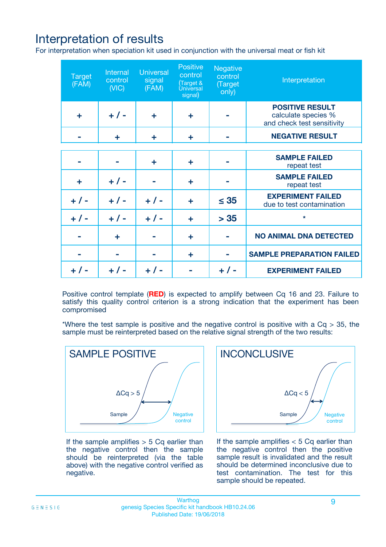# Interpretation of results

For interpretation when speciation kit used in conjunction with the universal meat or fish kit

| <b>Target</b><br>(FAM) | Internal<br>control<br>(NIC) | <b>Universal</b><br>signal<br>(FAM) | Positive<br>control<br>(Target &<br><b>Universal</b><br>signal) | <b>Negative</b><br>control<br>(Target<br>only) | Interpretation                                                              |
|------------------------|------------------------------|-------------------------------------|-----------------------------------------------------------------|------------------------------------------------|-----------------------------------------------------------------------------|
| ÷                      | $+$ / -                      | ÷                                   | ÷                                                               |                                                | <b>POSITIVE RESULT</b><br>calculate species %<br>and check test sensitivity |
|                        | ÷                            | ÷                                   | ÷                                                               |                                                | <b>NEGATIVE RESULT</b>                                                      |
|                        |                              |                                     |                                                                 |                                                |                                                                             |
|                        |                              | ÷                                   | ÷                                                               |                                                | <b>SAMPLE FAILED</b><br>repeat test                                         |
| ÷                      | $+ 1 -$                      |                                     | ÷                                                               |                                                | <b>SAMPLE FAILED</b><br>repeat test                                         |
| $+/-$                  | $+/-$                        | $+ 1 -$                             | ÷                                                               | $\leq 35$                                      | <b>EXPERIMENT FAILED</b><br>due to test contamination                       |
| $+ 1 -$                | $+/-$                        | $+/-$                               | ÷                                                               | > 35                                           | $\star$                                                                     |
|                        | ÷                            |                                     | ÷                                                               |                                                | <b>NO ANIMAL DNA DETECTED</b>                                               |
|                        |                              |                                     | ÷                                                               |                                                | <b>SAMPLE PREPARATION FAILED</b>                                            |
| $+  / -$               | $+ 1 -$                      |                                     |                                                                 |                                                | <b>EXPERIMENT FAILED</b>                                                    |

Positive control template (**RED**) is expected to amplify between Cq 16 and 23. Failure to satisfy this quality control criterion is a strong indication that the experiment has been compromised

\*Where the test sample is positive and the negative control is positive with a  $Cq > 35$ , the sample must be reinterpreted based on the relative signal strength of the two results:



If the sample amplifies  $> 5$  Cq earlier than the negative control then the sample should be reinterpreted (via the table above) with the negative control verified as negative.



If the sample amplifies  $< 5$  Cq earlier than the negative control then the positive sample result is invalidated and the result should be determined inconclusive due to test contamination. The test for this sample should be repeated.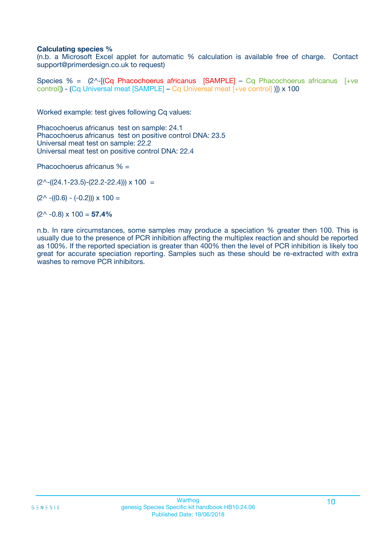### **Calculating species %**

(n.b. a Microsoft Excel applet for automatic % calculation is available free of charge. Contact support@primerdesign.co.uk to request)

Species % =  $(2^{\wedge}$ -[(Cq Phacochoerus africanus [SAMPLE] – Cq Phacochoerus africanus [+ve control]) - (Cq Universal meat [SAMPLE] – Cq Universal meat [+ve control] )]) x 100

Worked example: test gives following Cq values:

Phacochoerus africanus test on sample: 24.1 Phacochoerus africanus test on positive control DNA: 23.5 Universal meat test on sample: 22.2 Universal meat test on positive control DNA: 22.4

Phacochoerus africanus % =

 $(2^{\wedge}-(24.1-23.5)-(22.2-22.4))) \times 100 =$ 

 $(2^{\wedge}$  -((0.6) - (-0.2)))  $\times$  100 =

(2^ -0.8) x 100 = **57.4%**

n.b. In rare circumstances, some samples may produce a speciation % greater then 100. This is usually due to the presence of PCR inhibition affecting the multiplex reaction and should be reported as 100%. If the reported speciation is greater than 400% then the level of PCR inhibition is likely too great for accurate speciation reporting. Samples such as these should be re-extracted with extra washes to remove PCR inhibitors.